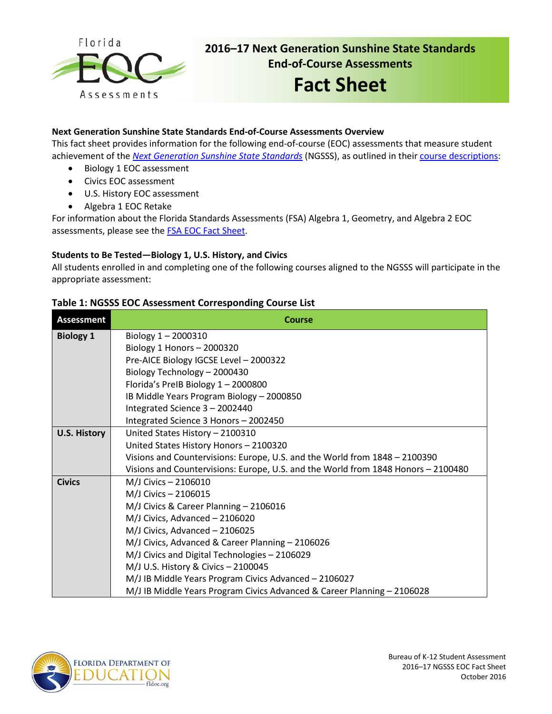

# **2016–17 Next Generation Sunshine State Standards End-of-Course Assessments**

# **Fact Sheet**

## **Next Generation Sunshine State Standards End-of-Course Assessments Overview**

This fact sheet provides information for the following end-of-course (EOC) assessments that measure student achievement of the *[Next Generation Sunshine State Standards](http://www.floridastandards.org/index.aspx)* (NGSSS), as outlined in their [course descriptions:](http://www.cpalms.org/Public/search/Course#0)

- Biology 1 EOC assessment
- Civics EOC assessment
- U.S. History EOC assessment
- Algebra 1 EOC Retake

For information about the Florida Standards Assessments (FSA) Algebra 1, Geometry, and Algebra 2 EOC assessments, please see the [FSA EOC Fact Sheet](http://www.fldoe.org/core/fileparse.php/5663/urlt/FSAEOC1516.pdf).

### **Students to Be Tested—Biology 1, U.S. History, and Civics**

All students enrolled in and completing one of the following courses aligned to the NGSSS will participate in the appropriate assessment:

# **Table 1: NGSSS EOC Assessment Corresponding Course List**

| <b>Assessment</b>   | <b>Course</b>                                                                     |  |  |  |  |  |  |
|---------------------|-----------------------------------------------------------------------------------|--|--|--|--|--|--|
| <b>Biology 1</b>    | Biology $1 - 2000310$                                                             |  |  |  |  |  |  |
|                     | Biology 1 Honors $-2000320$                                                       |  |  |  |  |  |  |
|                     | Pre-AICE Biology IGCSE Level - 2000322                                            |  |  |  |  |  |  |
|                     | Biology Technology - 2000430                                                      |  |  |  |  |  |  |
|                     | Florida's PreIB Biology 1-2000800                                                 |  |  |  |  |  |  |
|                     | IB Middle Years Program Biology - 2000850                                         |  |  |  |  |  |  |
|                     | Integrated Science 3 - 2002440                                                    |  |  |  |  |  |  |
|                     | Integrated Science 3 Honors - 2002450                                             |  |  |  |  |  |  |
| <b>U.S. History</b> | United States History - 2100310                                                   |  |  |  |  |  |  |
|                     | United States History Honors - 2100320                                            |  |  |  |  |  |  |
|                     | Visions and Countervisions: Europe, U.S. and the World from 1848 - 2100390        |  |  |  |  |  |  |
|                     | Visions and Countervisions: Europe, U.S. and the World from 1848 Honors - 2100480 |  |  |  |  |  |  |
| <b>Civics</b>       | M/J Civics - 2106010                                                              |  |  |  |  |  |  |
|                     | M/J Civics - 2106015                                                              |  |  |  |  |  |  |
|                     | M/J Civics & Career Planning - 2106016                                            |  |  |  |  |  |  |
|                     | M/J Civics, Advanced - 2106020                                                    |  |  |  |  |  |  |
|                     | M/J Civics, Advanced - 2106025                                                    |  |  |  |  |  |  |
|                     | M/J Civics, Advanced & Career Planning - 2106026                                  |  |  |  |  |  |  |
|                     | M/J Civics and Digital Technologies - 2106029                                     |  |  |  |  |  |  |
|                     | M/J U.S. History & Civics - 2100045                                               |  |  |  |  |  |  |
|                     | M/J IB Middle Years Program Civics Advanced - 2106027                             |  |  |  |  |  |  |
|                     | M/J IB Middle Years Program Civics Advanced & Career Planning - 2106028           |  |  |  |  |  |  |

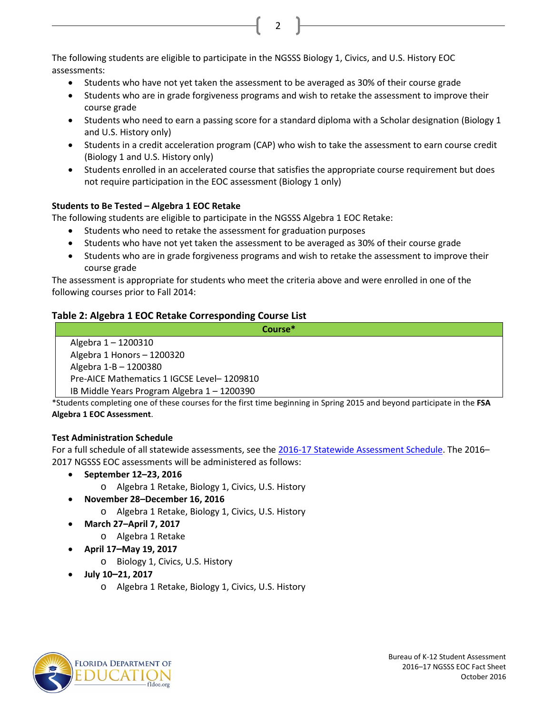The following students are eligible to participate in the NGSSS Biology 1, Civics, and U.S. History EOC assessments:

- Students who have not yet taken the assessment to be averaged as 30% of their course grade
- Students who are in grade forgiveness programs and wish to retake the assessment to improve their course grade

2

- Students who need to earn a passing score for a standard diploma with a Scholar designation (Biology 1 and U.S. History only)
- Students in a credit acceleration program (CAP) who wish to take the assessment to earn course credit (Biology 1 and U.S. History only)
- Students enrolled in an accelerated course that satisfies the appropriate course requirement but does not require participation in the EOC assessment (Biology 1 only)

# **Students to Be Tested – Algebra 1 EOC Retake**

The following students are eligible to participate in the NGSSS Algebra 1 EOC Retake:

- Students who need to retake the assessment for graduation purposes
- Students who have not yet taken the assessment to be averaged as 30% of their course grade
- Students who are in grade forgiveness programs and wish to retake the assessment to improve their course grade

The assessment is appropriate for students who meet the criteria above and were enrolled in one of the following courses prior to Fall 2014:

# **Table 2: Algebra 1 EOC Retake Corresponding Course List**

**Course\***

Algebra 1 – 1200310 Algebra 1 Honors – 1200320 Algebra 1-B – 1200380 Pre-AICE Mathematics 1 IGCSE Level– 1209810 IB Middle Years Program Algebra 1 – 1200390

\*Students completing one of these courses for the first time beginning in Spring 2015 and beyond participate in the **FSA Algebra 1 EOC Assessment**.

# **Test Administration Schedule**

For a full schedule of all statewide assessments, see the [2016-17 Statewide Assessment Schedule.](http://info.fldoe.org/docushare/dsweb/Get/Document-7514/dps-2015-175a.pdf) The 2016– 2017 NGSSS EOC assessments will be administered as follows:

- **September 12–23, 2016**
	- o Algebra 1 Retake, Biology 1, Civics, U.S. History
- **November 28–December 16, 2016**
	- o Algebra 1 Retake, Biology 1, Civics, U.S. History
- **March 27–April 7, 2017**
	- o Algebra 1 Retake
- **April 17–May 19, 2017**
	- o Biology 1, Civics, U.S. History
- **July 10–21, 2017**
	- o Algebra 1 Retake, Biology 1, Civics, U.S. History

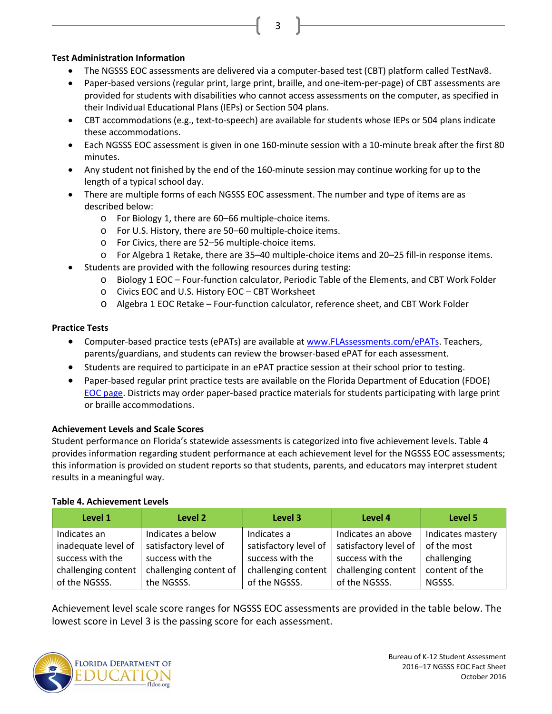### **Test Administration Information**

• The NGSSS EOC assessments are delivered via a computer-based test (CBT) platform called TestNav8.

3

- Paper-based versions (regular print, large print, braille, and one-item-per-page) of CBT assessments are provided for students with disabilities who cannot access assessments on the computer, as specified in their Individual Educational Plans (IEPs) or Section 504 plans.
- CBT accommodations (e.g., text-to-speech) are available for students whose IEPs or 504 plans indicate these accommodations.
- Each NGSSS EOC assessment is given in one 160-minute session with a 10-minute break after the first 80 minutes.
- Any student not finished by the end of the 160-minute session may continue working for up to the length of a typical school day.
- There are multiple forms of each NGSSS EOC assessment. The number and type of items are as described below:
	- o For Biology 1, there are 60–66 multiple-choice items.
	- o For U.S. History, there are 50–60 multiple-choice items.
	- o For Civics, there are 52–56 multiple-choice items.
	- o For Algebra 1 Retake, there are 35–40 multiple-choice items and 20–25 fill-in response items.
	- Students are provided with the following resources during testing:
		- o Biology 1 EOC Four-function calculator, Periodic Table of the Elements, and CBT Work Folder
		- o Civics EOC and U.S. History EOC CBT Worksheet
		- o Algebra 1 EOC Retake Four-function calculator, reference sheet, and CBT Work Folder

#### **Practice Tests**

- Computer-based practice tests (ePATs) are available at [www.FLAssessments.com/ePATs.](http://www.flassessments.com/ePATs) Teachers, parents/guardians, and students can review the browser-based ePAT for each assessment.
- Students are required to participate in an ePAT practice session at their school prior to testing.
- Paper-based regular print practice tests are available on the Florida Department of Education (FDOE) [EOC page.](http://www.fldoe.org/accountability/assessments/k-12-student-assessment/end-of-course-eoc-assessments) Districts may order paper-based practice materials for students participating with large print or braille accommodations.

#### **Achievement Levels and Scale Scores**

Student performance on Florida's statewide assessments is categorized into five achievement levels. Table 4 provides information regarding student performance at each achievement level for the NGSSS EOC assessments; this information is provided on student reports so that students, parents, and educators may interpret student results in a meaningful way.

#### **Table 4. Achievement Levels**

| Level 1             | Level 2                | Level 3               | Level 4               | Level 5           |
|---------------------|------------------------|-----------------------|-----------------------|-------------------|
| Indicates an        | Indicates a below      | Indicates a           | Indicates an above    | Indicates mastery |
| inadequate level of | satisfactory level of  | satisfactory level of | satisfactory level of | of the most       |
| success with the    | success with the       | success with the      | success with the      | challenging       |
| challenging content | challenging content of | challenging content   | challenging content   | content of the    |
| of the NGSSS.       | the NGSSS.             | of the NGSSS.         | of the NGSSS.         | NGSSS.            |

Achievement level scale score ranges for NGSSS EOC assessments are provided in the table below. The lowest score in Level 3 is the passing score for each assessment.